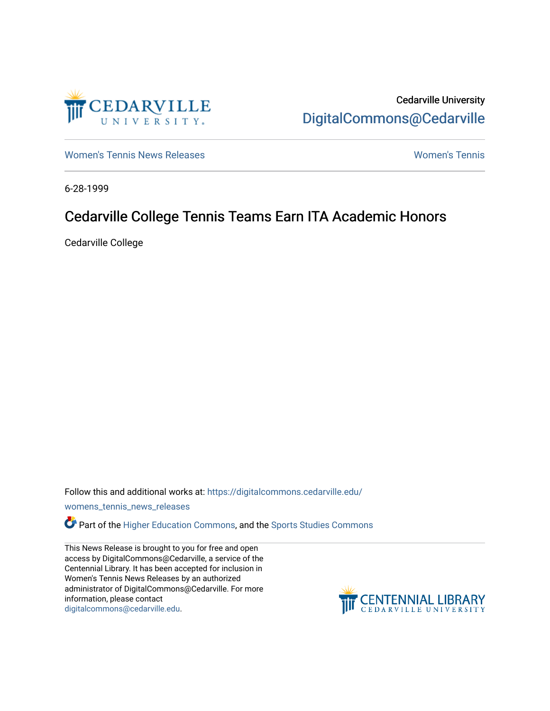

Cedarville University [DigitalCommons@Cedarville](https://digitalcommons.cedarville.edu/) 

[Women's Tennis News Releases](https://digitalcommons.cedarville.edu/womens_tennis_news_releases) [Women's Tennis](https://digitalcommons.cedarville.edu/womens_tennis) 

6-28-1999

## Cedarville College Tennis Teams Earn ITA Academic Honors

Cedarville College

Follow this and additional works at: [https://digitalcommons.cedarville.edu/](https://digitalcommons.cedarville.edu/womens_tennis_news_releases?utm_source=digitalcommons.cedarville.edu%2Fwomens_tennis_news_releases%2F12&utm_medium=PDF&utm_campaign=PDFCoverPages)

[womens\\_tennis\\_news\\_releases](https://digitalcommons.cedarville.edu/womens_tennis_news_releases?utm_source=digitalcommons.cedarville.edu%2Fwomens_tennis_news_releases%2F12&utm_medium=PDF&utm_campaign=PDFCoverPages) 

Part of the [Higher Education Commons,](http://network.bepress.com/hgg/discipline/1245?utm_source=digitalcommons.cedarville.edu%2Fwomens_tennis_news_releases%2F12&utm_medium=PDF&utm_campaign=PDFCoverPages) and the [Sports Studies Commons](http://network.bepress.com/hgg/discipline/1198?utm_source=digitalcommons.cedarville.edu%2Fwomens_tennis_news_releases%2F12&utm_medium=PDF&utm_campaign=PDFCoverPages) 

This News Release is brought to you for free and open access by DigitalCommons@Cedarville, a service of the Centennial Library. It has been accepted for inclusion in Women's Tennis News Releases by an authorized administrator of DigitalCommons@Cedarville. For more information, please contact [digitalcommons@cedarville.edu](mailto:digitalcommons@cedarville.edu).